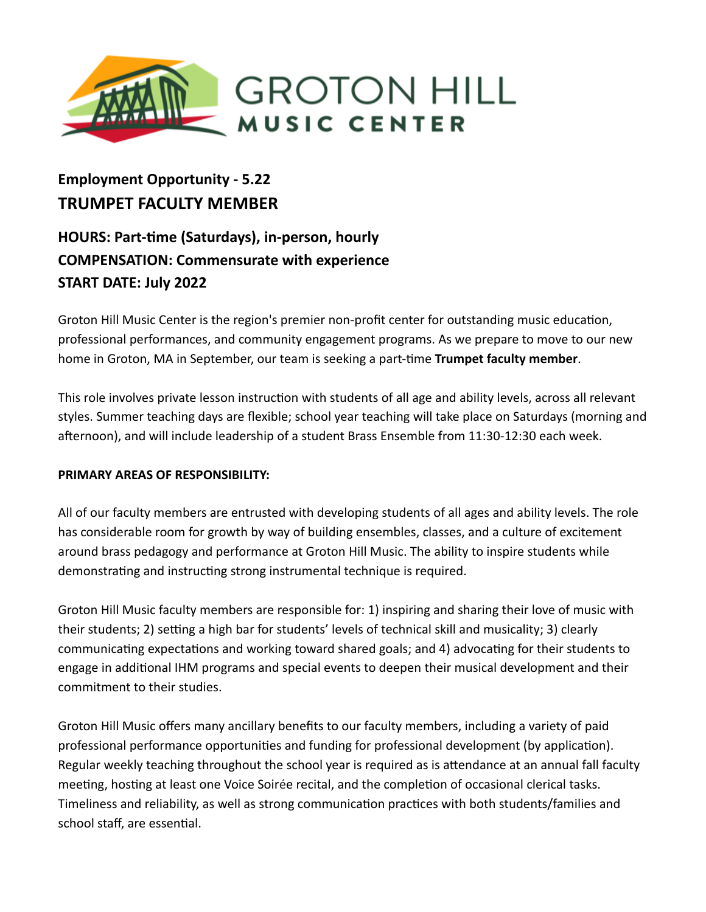

# **Employment Opportunity - 5.22 TRUMPET FACULTY MEMBER**

## **HOURS: Part-me (Saturdays), in-person, hourly COMPENSATION: Commensurate with experience START DATE: July 2022**

Groton Hill Music Center is the region's premier non-profit center for outstanding music education, professional performances, and community engagement programs. As we prepare to move to our new home in Groton, MA in September, our team is seeking a part-time **Trumpet faculty member**.

This role involves private lesson instruction with students of all age and ability levels, across all relevant styles. Summer teaching days are flexible; school year teaching will take place on Saturdays (morning and afternoon), and will include leadership of a student Brass Ensemble from 11:30-12:30 each week.

### **PRIMARY AREAS OF RESPONSIBILITY:**

All of our faculty members are entrusted with developing students of all ages and ability levels. The role has considerable room for growth by way of building ensembles, classes, and a culture of excitement around brass pedagogy and performance at Groton Hill Music. The ability to inspire students while demonstrating and instructing strong instrumental technique is required.

Groton Hill Music faculty members are responsible for: 1) inspiring and sharing their love of music with their students; 2) setting a high bar for students' levels of technical skill and musicality; 3) clearly communicating expectations and working toward shared goals; and 4) advocating for their students to engage in additional IHM programs and special events to deepen their musical development and their commitment to their studies.

Groton Hill Music offers many ancillary benefits to our faculty members, including a variety of paid professional performance opportunities and funding for professional development (by application). Regular weekly teaching throughout the school year is required as is attendance at an annual fall faculty meeting, hosting at least one Voice Soirée recital, and the completion of occasional clerical tasks. Timeliness and reliability, as well as strong communication practices with both students/families and school staff, are essential.